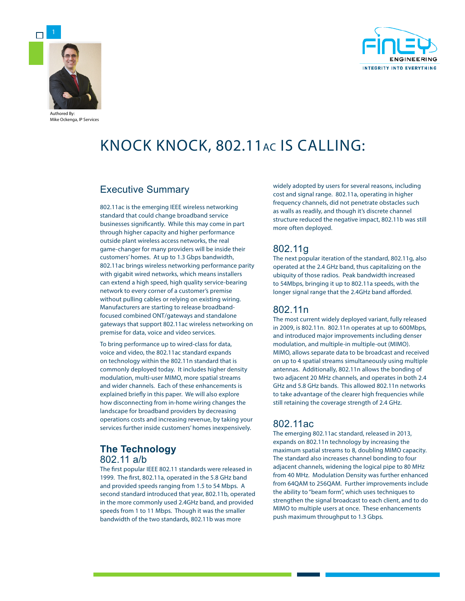

Mike Ockenga, IP Services



# KNOCK KNOCK, 802.11AC IS CALLING:

# Executive Summary

802.11ac is the emerging IEEE wireless networking standard that could change broadband service businesses significantly. While this may come in part through higher capacity and higher performance outside plant wireless access networks, the real game-changer for many providers will be inside their customers' homes. At up to 1.3 Gbps bandwidth, 802.11ac brings wireless networking performance parity with gigabit wired networks, which means installers can extend a high speed, high quality service-bearing network to every corner of a customer's premise without pulling cables or relying on existing wiring. Manufacturers are starting to release broadbandfocused combined ONT/gateways and standalone gateways that support 802.11ac wireless networking on premise for data, voice and video services.

To bring performance up to wired-class for data, voice and video, the 802.11ac standard expands on technology within the 802.11n standard that is commonly deployed today. It includes higher density modulation, multi-user MIMO, more spatial streams and wider channels. Each of these enhancements is explained briefly in this paper. We will also explore how disconnecting from in-home wiring changes the landscape for broadband providers by decreasing operations costs and increasing revenue, by taking your services further inside customers' homes inexpensively.

# **The Technology**

802.11 a/b

The first popular IEEE 802.11 standards were released in 1999. The first, 802.11a, operated in the 5.8 GHz band and provided speeds ranging from 1.5 to 54 Mbps. A second standard introduced that year, 802.11b, operated in the more commonly used 2.4GHz band, and provided speeds from 1 to 11 Mbps. Though it was the smaller bandwidth of the two standards, 802.11b was more

widely adopted by users for several reasons, including cost and signal range. 802.11a, operating in higher frequency channels, did not penetrate obstacles such as walls as readily, and though it's discrete channel structure reduced the negative impact, 802.11b was still more often deployed.

# 802.11g

The next popular iteration of the standard, 802.11g, also operated at the 2.4 GHz band, thus capitalizing on the ubiquity of those radios. Peak bandwidth increased to 54Mbps, bringing it up to 802.11a speeds, with the longer signal range that the 2.4GHz band afforded.

# 802.11n

The most current widely deployed variant, fully released in 2009, is 802.11n. 802.11n operates at up to 600Mbps, and introduced major improvements including denser modulation, and multiple-in multiple-out (MIMO). MIMO, allows separate data to be broadcast and received on up to 4 spatial streams simultaneously using multiple antennas. Additionally, 802.11n allows the bonding of two adjacent 20 MHz channels, and operates in both 2.4 GHz and 5.8 GHz bands. This allowed 802.11n networks to take advantage of the clearer high frequencies while still retaining the coverage strength of 2.4 GHz.

# 802.11ac

The emerging 802.11ac standard, released in 2013, expands on 802.11n technology by increasing the maximum spatial streams to 8, doubling MIMO capacity. The standard also increases channel bonding to four adjacent channels, widening the logical pipe to 80 MHz from 40 MHz. Modulation Density was further enhanced from 64QAM to 256QAM. Further improvements include the ability to "beam form", which uses techniques to strengthen the signal broadcast to each client, and to do MIMO to multiple users at once. These enhancements push maximum throughput to 1.3 Gbps.